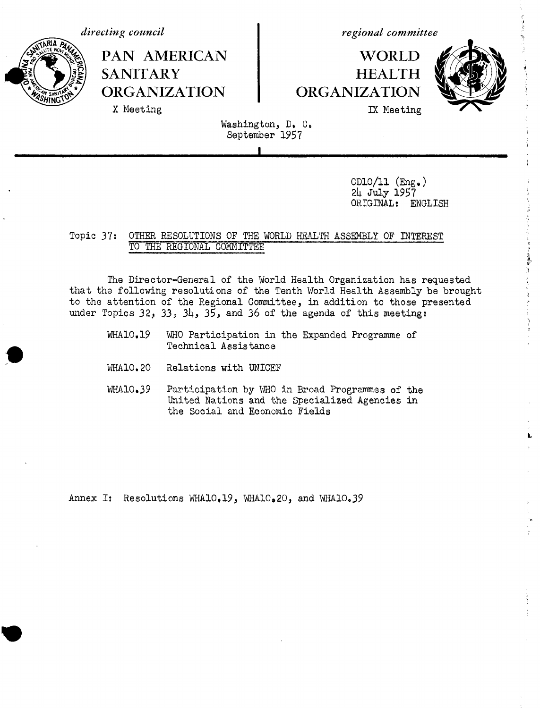*directing council*

**PAN AMERICAN SANITARY ORGANIZATION** X Meeting

*regional committee*

# **WORLD HEALTH ORGANIZATION** IX Meeting



L

Washington, D. C. September 1957

**I**

CD10/11  $(Eng. )$ 24 July 1957 ORIGINAL: ENGLISH

OTHER RESOLUTIONS OF THE WORLD HIEALTH ASSEMBLY OF INTEREST TO THE REGIONAL COMMITTEE Topic 37:

The Director-General of the World Health Organization has requested that the following resolutions of the Tenth World Health Assembly be brought to the attention of the Regional Committee, in addition to those presented under Topics 32, 33, 34, 35, and 36 of the agenda of this meeting:

- WHA10.19 WHO Participation in the Expanded Programme of Technical Assistance
- WA10.20 Relations with UNICEF
- WHAlO.39 Participation by WHO in Broad Programmes of the United Nations and the Specialized Agencies in the Social and Economic Fields

Annex I: Resolutions WHAlO.19, WHAlO.20, and WHAlO.39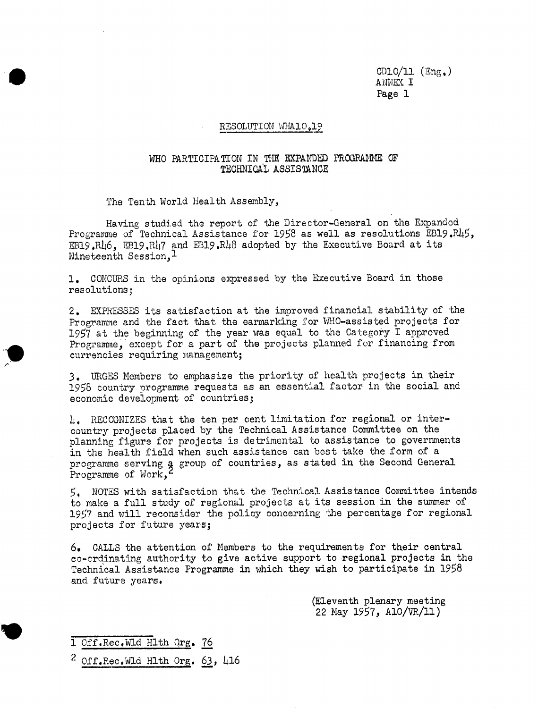#### RESOLUTION WHA10,19

## **WHO PARTICIPATION IN THE EXPANDED PROGRATIE** OF TECHNICAL ASSISTANCE

The Tenth World Health Assembly,

Having studied the report of the Director-General on the Expanded Programme of Technical Assistance for 1958 as well as resolutions EB19.R45, EB19.R46, EB19,R47 and EB19,R48 adopted by the Executive Board at its Nineteenth Session,<sup>1</sup>

1. CONCURS in the opinions expressed by the Executive Board in those resolutions;

2. EXPRESSES its satisfaction at the improved financial stability of the Programme and the fact that the earmarking for WHO-assisted projects for 1957 at the beginning of the year was equal to the Category I approved Programme, except for a part of the projects planned for financing from currencies requiring management;

3, URGES Members to emphasize the priority of health projects in their 1958 country programme requests as an essential factor in the social and economic development of countries;

4, RECOGNIZES that the ten per cent limitation for regional or intercountry projects placed by the Technical Assistance Committee on the planning figure for projects is detrimental to assistance to governments in the health field when such assistance can best take the form of a programme serving a group of countries, as stated in the Second General Programme of Work,

5, NOTES with satisfaction that the Technical Assistance Committee intends to make a full study of regional projects at its session in the summer of 1957 and will reconsider the policy concerning the percentage for regional projects for future years;

6. CALLS the attention of Members to the requirements for their central co-crdinating authority to give active support to regional projects in the Technical Assistance Programme in which they wish to participate in 1958 and future years.

> (Eleventh plenary meeting 22 May 1957, AlO/VR/1l)

1 Off.Rec,Wld Hlth Qrg. 76

 $2$  Off.Rec.Wld Hlth Org. 63, 416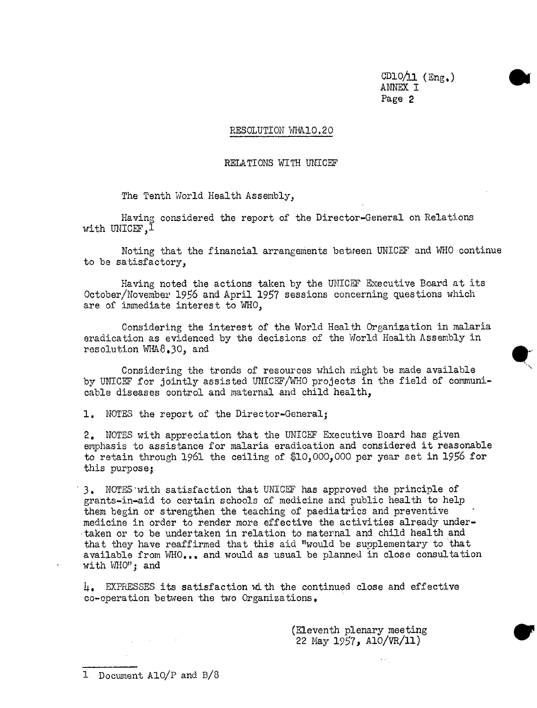### RESOLUTION WHA10.20

#### RELATIONS WITH UNICEF

The Tenth World Health Assembly,

Having considered the report of the Director-General on Relations with UNICEF.1

Noting that the financial arrangements between UNICEF and WHO continue to be satisfactory,

Having noted the actions taken by the UNICEF Executive Board at its October/November 1956 and April 1957 sessions concerning questions which are of immediate interest to WHO,

Considering the interest of the World Health Organization in malaria eradication as evidenced by the decisions of the World Health Assembly in resolution  $WHA8.30$ , and

Considering the trends of resources which might be made available by UNICEF for jointly assisted UNICEF/WHO projects in the field of communicable diseases control and maternal and child health,

1. NOTES the report of the Director-General;

2. NOTES with appreciation that the UNICEF Executive Board has given emphasis to assistance for malaria eradication and considered it reasonable to retain through 1961 the ceiling of \$10,000,000 per year set in 1956 for this purpose;

3, NOTES-with satisfaction that UNICEF has approved the principle of grants-in-aid to certain schools of medicine and public health to help them begin or strengthen the teaching of paediatrics and preventive medicine in order to render more effective the activities already undertaken or to be undertaken in relation to maternal and child health and that they have reaffirmed that this aid "would be supplementary to that available from WHO... and would as usual be planned in close consultation with WHO"; and

4. EXPRESSES its satisfaction with the continued close and effective co-operation between the two Organizations.

> (Eleventh plenary meeting 22 May 1957, A1O/VR/ll)

1 Document A1O/P and B/8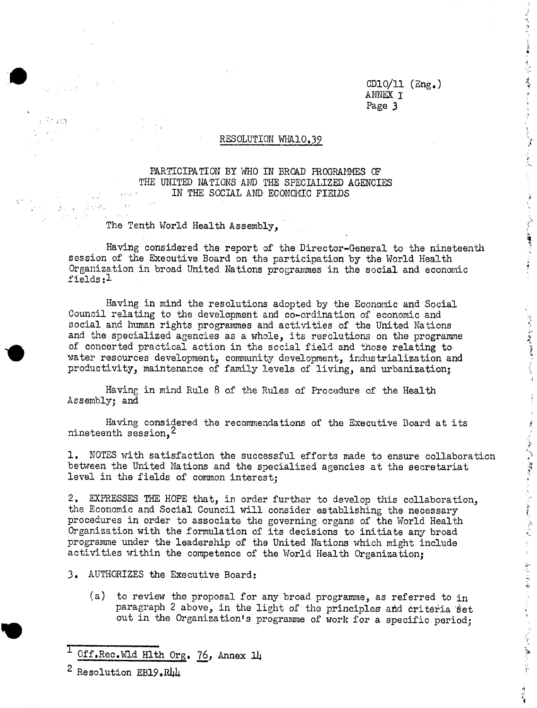$A = 1$ 

**所になることを受けているので、実際は、なんとうことになった。 しんしゅぎ こくせんかい しょうこく へいきかん こくぶん 小説 離婚 プラッシュ まくしゃく きょうしょ** 

 $\frac{1}{2}$ ğ,

# RESOLUTION WIA10,39

PARTICIPATION BY WHO IN BROAD PROGRAMMES OF THE UNITED NATIONS AND THE SPECIALIZED AGENCIES IN THE SOCIAL AND ECONOMIC FIEIDS IN THE SOCIAL AND ECONOMIC FIELDS

The Tenth World Health Assembly,

Roman.<br>Prima

 $\mathcal{L}_{\text{c}}\left(\mathbf{y}\right)=\mathcal{L}_{\text{c}}\left(\mathcal{Q}\mathbf{x}\right)$  .

Having considered the report of the Director-General to the nineteenth session of the Executive Board on the participation by the World Health Organization in broad United Nations programmes in the social and economic fields:1

Having in mind the resolutions adopted by the Economic and Social Council relating to the development and co-ordination of economic and social and human rights programmes and activities of the United Nations and the specialized agencies as a whole, its resclutions on the programme of concerted practical action in the social field and those relating to water resources development, community development, industrialization and productivity, maintenance of family levels of living, and urbanization;

Having in mind Rule 8 of the Rules of Procedure of the Health Assembly; and

Having considered the recommendations of the Executive Board at its nineteenth session,<sup>2</sup>

between the United Nations and the specialized agencies at the secretariat level in the fields of common interest;

Having considered the recommendations of the Executive Board at its<br>
1. NOTES with satisfaction the successful efforts made to ensure collaboration<br>
between the United Nations and the specialized agencies at the secretari 2. EXPRESSES THE HOPE that, in order further to develop this collaboration, the Economic and Social Council will consider establishing the necessary procedures in order to associate the governing organs of the World Health Organization with the formulation of its decisions to initiate any broad programme under the leadership of the United Nations which might include activities within the competence of the World Health Organization;

- 3. AUTHORIZES the Executive Board:
	- (a) to review the proposal for any broad programme, as referred to in paragraph 2 above, in the light of the principles and criteria set out in the Organization's programme of work for a specific period;

Off.Rec.Wld Hlth Org. 76, Annex 14

<sup>2</sup> Resolution EB19.R44